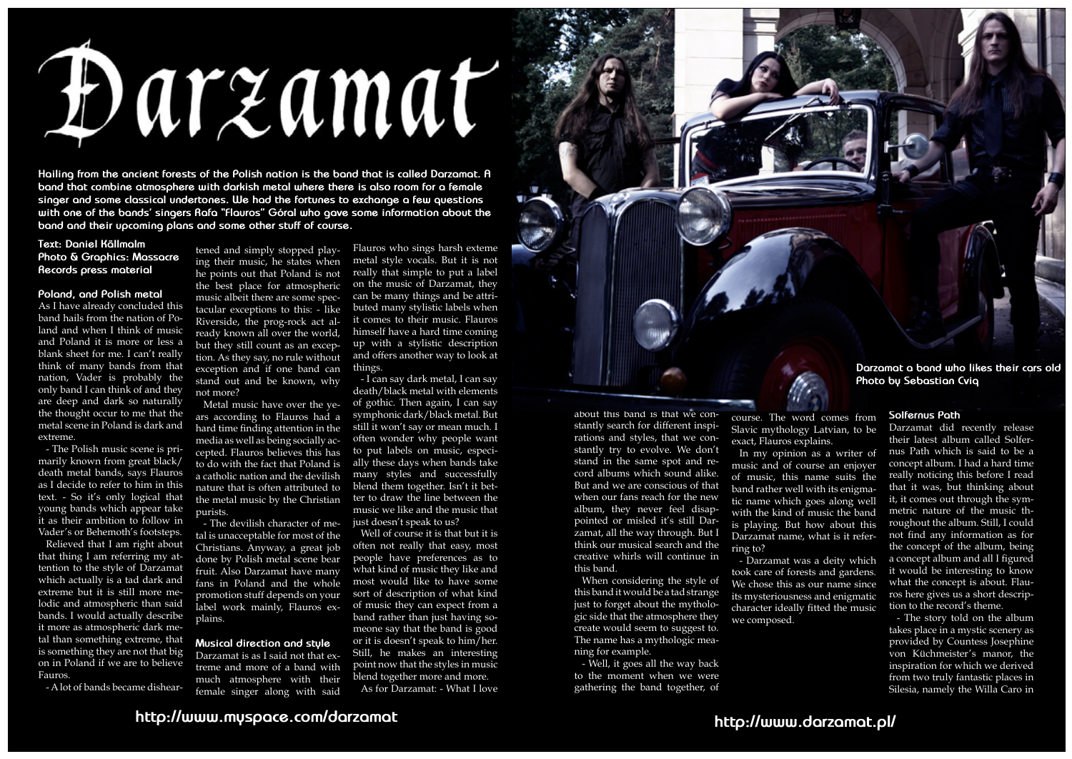



**Hailing from the ancient forests of the Polish nation is the band that is called Darzamat. A band that combine atmosphere with darkish metal where there is also room for a female singer and some classical undertones. We had the fortunes to exchange a few questions with one of the bands' singers Rafa "Flauros" Góral who gave some information about the band and their upcoming plans and some other stuff of course.**

### **Poland, and Polish metal**

As I have already concluded this band hails from the nation of Poland and when I think of music and Poland it is more or less a blank sheet for me. I can't really think of many bands from that nation, Vader is probably the only band I can think of and they are deep and dark so naturally the thought occur to me that the metal scene in Poland is dark and extreme.

- The Polish music scene is primarily known from great black/ death metal bands, says Flauros as I decide to refer to him in this text. - So it's only logical that young bands which appear take it as their ambition to follow in Vader's or Behemoth's footsteps.

Relieved that I am right about that thing I am referring my attention to the style of Darzamat which actually is a tad dark and extreme but it is still more melodic and atmospheric than said bands. I would actually describe it more as atmospheric dark metal than something extreme, that is something they are not that big on in Poland if we are to believe Fauros.

- A lot of bands became dishear-

tened and simply stopped playing their music, he states when he points out that Poland is not the best place for atmospheric music albeit there are some spectacular exceptions to this: - like Riverside, the prog-rock act already known all over the world, but they still count as an exception. As they say, no rule without exception and if one band can stand out and be known, why not more?

Metal music have over the years according to Flauros had a hard time finding attention in the media as well as being socially accepted. Flauros believes this has to do with the fact that Poland is a catholic nation and the devilish nature that is often attributed to the metal music by the Christian purists.

- The devilish character of metal is unacceptable for most of the Christians. Anyway, a great job done by Polish metal scene bear fruit. Also Darzamat have many fans in Poland and the whole promotion stuff depends on your label work mainly, Flauros explains.

#### **Musical direction and style**

Darzamat is as I said not that extreme and more of a band with much atmosphere with their female singer along with said

Flauros who sings harsh exteme metal style vocals. But it is not really that simple to put a label on the music of Darzamat, they can be many things and be attributed many stylistic labels when it comes to their music. Flauros himself have a hard time coming up with a stylistic description and offers another way to look at things.

- I can say dark metal, I can say death/black metal with elements of gothic. Then again, I can say symphonic dark/black metal. But still it won't say or mean much. I often wonder why people want to put labels on music, especially these days when bands take many styles and successfully blend them together. Isn't it better to draw the line between the music we like and the music that just doesn't speak to us?

Well of course it is that but it is often not really that easy, most people have preferences as to what kind of music they like and most would like to have some sort of description of what kind of music they can expect from a band rather than just having someone say that the band is good or it is doesn't speak to him/her. Still, he makes an interesting point now that the styles in music blend together more and more.

As for Darzamat: - What I love

# **Text: Daniel Källmalm Photo & Graphics: Massacre Records press material**

about this band is that we constantly search for different inspirations and styles, that we constantly try to evolve. We don't stand in the same spot and record albums which sound alike. But and we are conscious of that when our fans reach for the new album, they never feel disappointed or misled it's still Darzamat, all the way through. But I think our musical search and the creative whirls will continue in this band.

When considering the style of this band it would be a tad strange just to forget about the mythologic side that the atmosphere they create would seem to suggest to. The name has a mythologic meaning for example.

- Well, it goes all the way back to the moment when we were gathering the band together, of

course. The word comes from Slavic mythology Latvian, to be exact, Flauros explains.

In my opinion as a writer of music and of course an enjoyer of music, this name suits the band rather well with its enigmatic name which goes along well with the kind of music the band is playing. But how about this Darzamat name, what is it referring to?

- Darzamat was a deity which took care of forests and gardens. We chose this as our name since its mysteriousness and enigmatic character ideally fitted the music we composed.

### **Solfernus Path**

Darzamat did recently release their latest album called Solfernus Path which is said to be a concept album. I had a hard time really noticing this before I read that it was, but thinking about it, it comes out through the symmetric nature of the music throughout the album. Still, I could not find any information as for the concept of the album, being a concept album and all I figured it would be interesting to know what the concept is about. Flauros here gives us a short description to the record's theme.

- The story told on the album takes place in a mystic scenery as provided by Countess Josephine von Küchmeister's manor, the inspiration for which we derived from two truly fantastic places in Silesia, namely the Willa Caro in

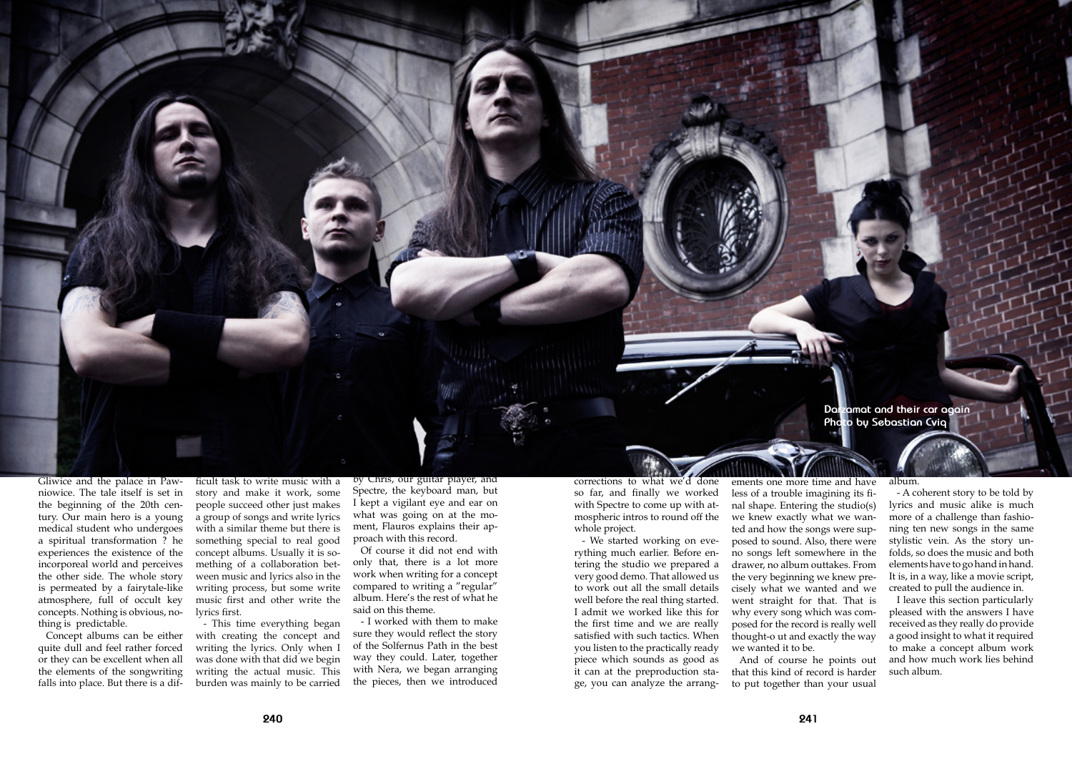

Gliwice and the palace in Pawniowice. The tale itself is set in the beginning of the 20th century. Our main hero is a young medical student who undergoes a spiritual transformation ? he experiences the existence of the incorporeal world and perceives the other side. The whole story is permeated by a fairytale-like atmosphere, full of occult key concepts. Nothing is obvious, nothing is predictable.

Concept albums can be either quite dull and feel rather forced or they can be excellent when all the elements of the songwriting falls into place. But there is a dif-

ficult task to write music with a story and make it work, some people succeed other just makes a group of songs and write lyrics with a similar theme but there is something special to real good concept albums. Usually it is something of a collaboration between music and lyrics also in the writing process, but some write music first and other write the lyrics first.

- This time everything began with creating the concept and writing the lyrics. Only when I was done with that did we begin writing the actual music. This burden was mainly to be carried

by Chris, our guitar player, and Spectre, the keyboard man, but I kept a vigilant eye and ear on what was going on at the moment, Flauros explains their approach with this record.

Of course it did not end with only that, there is a lot more work when writing for a concept compared to writing a "regular" album. Here's the rest of what he said on this theme.

- I worked with them to make sure they would reflect the story of the Solfernus Path in the best way they could. Later, together with Nera, we began arranging the pieces, then we introduced

corrections to what we'd done so far, and finally we worked with Spectre to come up with atmospheric intros to round off the whole project.

- We started working on everything much earlier. Before entering the studio we prepared a very good demo. That allowed us to work out all the small details well before the real thing started. I admit we worked like this for the first time and we are really satisfied with such tactics. When you listen to the practically ready piece which sounds as good as it can at the preproduction stage, you can analyze the arrangements one more time and have less of a trouble imagining its final shape. Entering the studio(s) we knew exactly what we wanted and how the songs were supposed to sound. Also, there were no songs left somewhere in the drawer, no album outtakes. From the very beginning we knew precisely what we wanted and we went straight for that. That is why every song which was composed for the record is really well thought-o ut and exactly the way we wanted it to be.

And of course he points out that this kind of record is harder to put together than your usual

album.

- A coherent story to be told by lyrics and music alike is much more of a challenge than fashioning ten new songs in the same stylistic vein. As the story unfolds, so does the music and both elements have to go hand in hand. It is, in a way, like a movie script, created to pull the audience in.

I leave this section particularly pleased with the answers I have received as they really do provide a good insight to what it required to make a concept album work and how much work lies behind such album.

**Darzamat and their car again Photo by Sebastian Cviq**